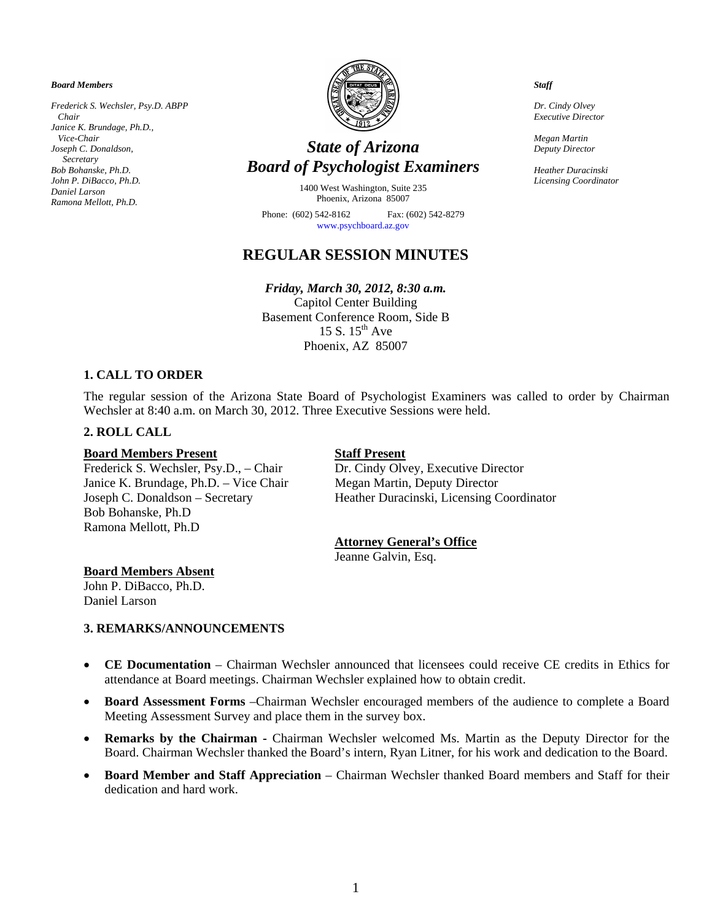*Board Members* 

*Frederick S. Wechsler, Psy.D. ABPP Chair Janice K. Brundage, Ph.D., Vice-Chair Joseph C. Donaldson, Secretary Bob Bohanske, Ph.D. John P. DiBacco, Ph.D. Daniel Larson Ramona Mellott, Ph.D.* 



# *State of Arizona Board of Psychologist Examiners*

1400 West Washington, Suite 235 Phoenix, Arizona 85007

Phone: (602) 542-8162 Fax: (602) 542-8279 www.psychboard.az.gov

# **REGULAR SESSION MINUTES**

# *Friday, March 30, 2012, 8:30 a.m.*

Capitol Center Building Basement Conference Room, Side B 15 S.  $15^{th}$  Ave Phoenix, AZ 85007

# **1. CALL TO ORDER**

The regular session of the Arizona State Board of Psychologist Examiners was called to order by Chairman Wechsler at 8:40 a.m. on March 30, 2012. Three Executive Sessions were held.

# **2. ROLL CALL**

#### **Board Members Present Staff Present**

Frederick S. Wechsler, Psy.D., – Chair Dr. Cindy Olvey, Executive Director Janice K. Brundage, Ph.D. – Vice Chair Megan Martin, Deputy Director Bob Bohanske, Ph.D Ramona Mellott, Ph.D

Joseph C. Donaldson – Secretary Heather Duracinski, Licensing Coordinator

#### **Attorney General's Office**

Jeanne Galvin, Esq.

#### **Board Members Absent**

John P. DiBacco, Ph.D. Daniel Larson

#### **3. REMARKS/ANNOUNCEMENTS**

- **CE Documentation** Chairman Wechsler announced that licensees could receive CE credits in Ethics for attendance at Board meetings. Chairman Wechsler explained how to obtain credit.
- **Board Assessment Forms** –Chairman Wechsler encouraged members of the audience to complete a Board Meeting Assessment Survey and place them in the survey box.
- **Remarks by the Chairman** Chairman Wechsler welcomed Ms. Martin as the Deputy Director for the Board. Chairman Wechsler thanked the Board's intern, Ryan Litner, for his work and dedication to the Board.
- **Board Member and Staff Appreciation** Chairman Wechsler thanked Board members and Staff for their dedication and hard work.

*Staff* 

*Dr. Cindy Olvey Executive Director* 

*Megan Martin Deputy Director* 

*Heather Duracinski Licensing Coordinator*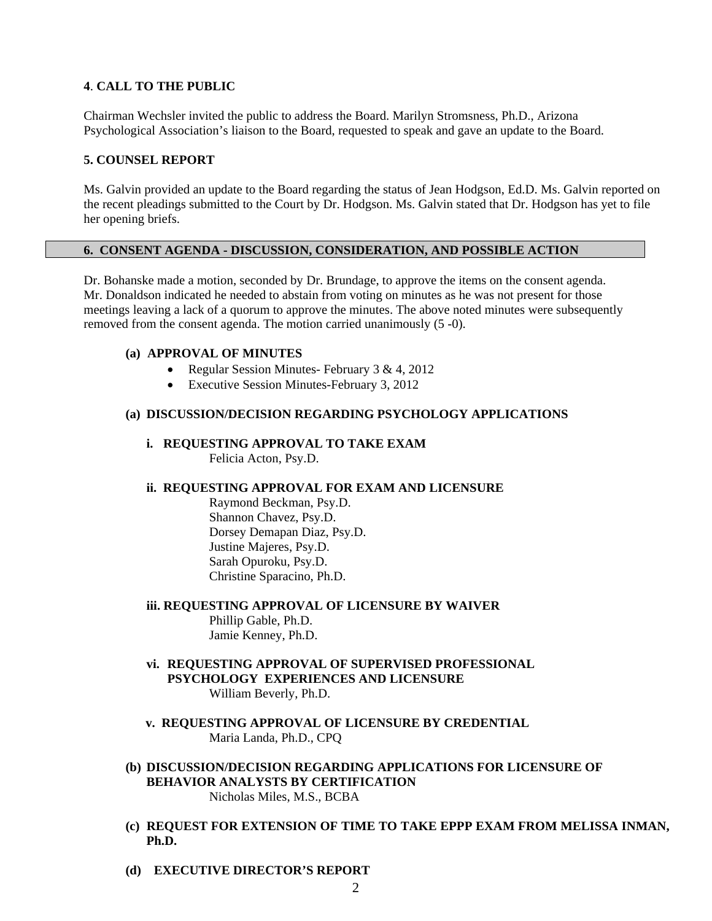# **4**. **CALL TO THE PUBLIC**

Chairman Wechsler invited the public to address the Board. Marilyn Stromsness, Ph.D., Arizona Psychological Association's liaison to the Board, requested to speak and gave an update to the Board.

## **5. COUNSEL REPORT**

Ms. Galvin provided an update to the Board regarding the status of Jean Hodgson, Ed.D. Ms. Galvin reported on the recent pleadings submitted to the Court by Dr. Hodgson. Ms. Galvin stated that Dr. Hodgson has yet to file her opening briefs.

# **6. CONSENT AGENDA - DISCUSSION, CONSIDERATION, AND POSSIBLE ACTION**

Dr. Bohanske made a motion, seconded by Dr. Brundage, to approve the items on the consent agenda. Mr. Donaldson indicated he needed to abstain from voting on minutes as he was not present for those meetings leaving a lack of a quorum to approve the minutes. The above noted minutes were subsequently removed from the consent agenda. The motion carried unanimously (5 -0).

# **(a) APPROVAL OF MINUTES**

- Regular Session Minutes- February 3 & 4, 2012
- Executive Session Minutes-February 3, 2012

#### **(a) DISCUSSION/DECISION REGARDING PSYCHOLOGY APPLICATIONS**

**i. REQUESTING APPROVAL TO TAKE EXAM**  Felicia Acton, Psy.D.

### **ii. REQUESTING APPROVAL FOR EXAM AND LICENSURE**

 Raymond Beckman, Psy.D. Shannon Chavez, Psy.D. Dorsey Demapan Diaz, Psy.D. Justine Majeres, Psy.D. Sarah Opuroku, Psy.D. Christine Sparacino, Ph.D.

**iii. REQUESTING APPROVAL OF LICENSURE BY WAIVER**  Phillip Gable, Ph.D. Jamie Kenney, Ph.D.

- **vi. REQUESTING APPROVAL OF SUPERVISED PROFESSIONAL PSYCHOLOGY EXPERIENCES AND LICENSURE** William Beverly, Ph.D.
- **v. REQUESTING APPROVAL OF LICENSURE BY CREDENTIAL**  Maria Landa, Ph.D., CPQ
- **(b) DISCUSSION/DECISION REGARDING APPLICATIONS FOR LICENSURE OF BEHAVIOR ANALYSTS BY CERTIFICATION**  Nicholas Miles, M.S., BCBA
- **(c) REQUEST FOR EXTENSION OF TIME TO TAKE EPPP EXAM FROM MELISSA INMAN, Ph.D.**
- **(d) EXECUTIVE DIRECTOR'S REPORT**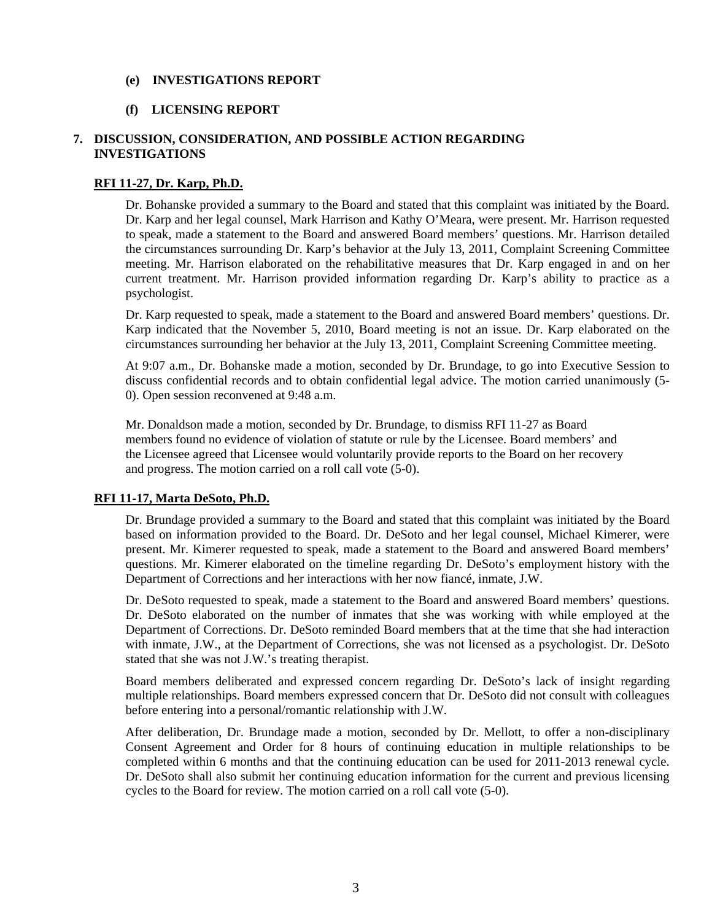# **(e) INVESTIGATIONS REPORT**

#### **(f) LICENSING REPORT**

# **7. DISCUSSION, CONSIDERATION, AND POSSIBLE ACTION REGARDING INVESTIGATIONS**

#### **RFI 11-27, Dr. Karp, Ph.D.**

Dr. Bohanske provided a summary to the Board and stated that this complaint was initiated by the Board. Dr. Karp and her legal counsel, Mark Harrison and Kathy O'Meara, were present. Mr. Harrison requested to speak, made a statement to the Board and answered Board members' questions. Mr. Harrison detailed the circumstances surrounding Dr. Karp's behavior at the July 13, 2011, Complaint Screening Committee meeting. Mr. Harrison elaborated on the rehabilitative measures that Dr. Karp engaged in and on her current treatment. Mr. Harrison provided information regarding Dr. Karp's ability to practice as a psychologist.

Dr. Karp requested to speak, made a statement to the Board and answered Board members' questions. Dr. Karp indicated that the November 5, 2010, Board meeting is not an issue. Dr. Karp elaborated on the circumstances surrounding her behavior at the July 13, 2011, Complaint Screening Committee meeting.

At 9:07 a.m., Dr. Bohanske made a motion, seconded by Dr. Brundage, to go into Executive Session to discuss confidential records and to obtain confidential legal advice. The motion carried unanimously (5- 0). Open session reconvened at 9:48 a.m.

Mr. Donaldson made a motion, seconded by Dr. Brundage, to dismiss RFI 11-27 as Board members found no evidence of violation of statute or rule by the Licensee. Board members' and the Licensee agreed that Licensee would voluntarily provide reports to the Board on her recovery and progress. The motion carried on a roll call vote (5-0).

#### **RFI 11-17, Marta DeSoto, Ph.D.**

Dr. Brundage provided a summary to the Board and stated that this complaint was initiated by the Board based on information provided to the Board. Dr. DeSoto and her legal counsel, Michael Kimerer, were present. Mr. Kimerer requested to speak, made a statement to the Board and answered Board members' questions. Mr. Kimerer elaborated on the timeline regarding Dr. DeSoto's employment history with the Department of Corrections and her interactions with her now fiancé, inmate, J.W.

Dr. DeSoto requested to speak, made a statement to the Board and answered Board members' questions. Dr. DeSoto elaborated on the number of inmates that she was working with while employed at the Department of Corrections. Dr. DeSoto reminded Board members that at the time that she had interaction with inmate, J.W., at the Department of Corrections, she was not licensed as a psychologist. Dr. DeSoto stated that she was not J.W.'s treating therapist.

Board members deliberated and expressed concern regarding Dr. DeSoto's lack of insight regarding multiple relationships. Board members expressed concern that Dr. DeSoto did not consult with colleagues before entering into a personal/romantic relationship with J.W.

After deliberation, Dr. Brundage made a motion, seconded by Dr. Mellott, to offer a non-disciplinary Consent Agreement and Order for 8 hours of continuing education in multiple relationships to be completed within 6 months and that the continuing education can be used for 2011-2013 renewal cycle. Dr. DeSoto shall also submit her continuing education information for the current and previous licensing cycles to the Board for review. The motion carried on a roll call vote (5-0).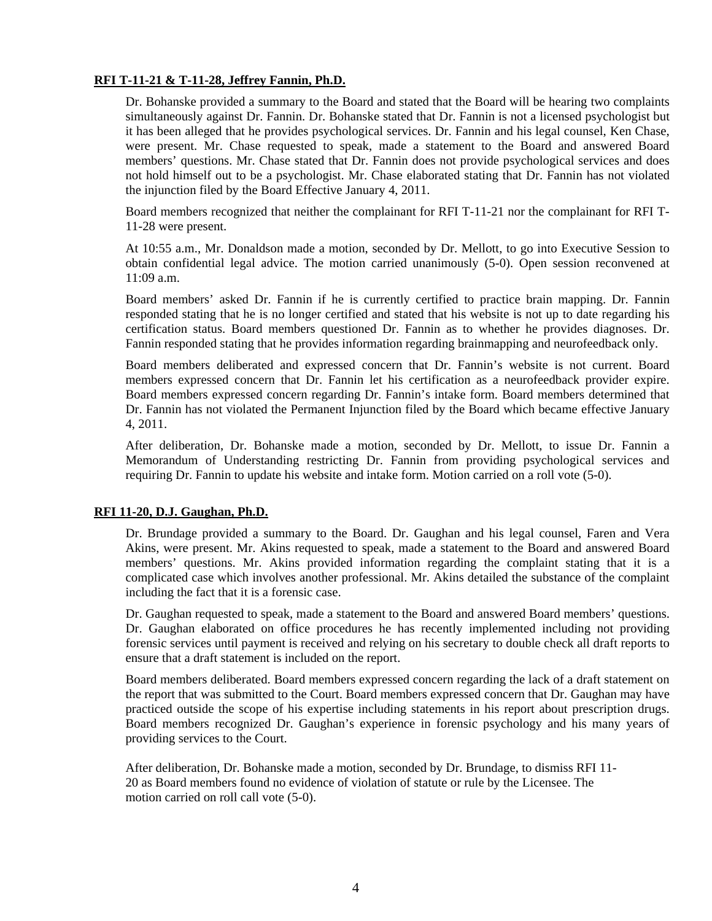# **RFI T-11-21 & T-11-28, Jeffrey Fannin, Ph.D.**

Dr. Bohanske provided a summary to the Board and stated that the Board will be hearing two complaints simultaneously against Dr. Fannin. Dr. Bohanske stated that Dr. Fannin is not a licensed psychologist but it has been alleged that he provides psychological services. Dr. Fannin and his legal counsel, Ken Chase, were present. Mr. Chase requested to speak, made a statement to the Board and answered Board members' questions. Mr. Chase stated that Dr. Fannin does not provide psychological services and does not hold himself out to be a psychologist. Mr. Chase elaborated stating that Dr. Fannin has not violated the injunction filed by the Board Effective January 4, 2011.

Board members recognized that neither the complainant for RFI T-11-21 nor the complainant for RFI T-11-28 were present.

At 10:55 a.m., Mr. Donaldson made a motion, seconded by Dr. Mellott, to go into Executive Session to obtain confidential legal advice. The motion carried unanimously (5-0). Open session reconvened at 11:09 a.m.

Board members' asked Dr. Fannin if he is currently certified to practice brain mapping. Dr. Fannin responded stating that he is no longer certified and stated that his website is not up to date regarding his certification status. Board members questioned Dr. Fannin as to whether he provides diagnoses. Dr. Fannin responded stating that he provides information regarding brainmapping and neurofeedback only.

Board members deliberated and expressed concern that Dr. Fannin's website is not current. Board members expressed concern that Dr. Fannin let his certification as a neurofeedback provider expire. Board members expressed concern regarding Dr. Fannin's intake form. Board members determined that Dr. Fannin has not violated the Permanent Injunction filed by the Board which became effective January 4, 2011.

After deliberation, Dr. Bohanske made a motion, seconded by Dr. Mellott, to issue Dr. Fannin a Memorandum of Understanding restricting Dr. Fannin from providing psychological services and requiring Dr. Fannin to update his website and intake form. Motion carried on a roll vote (5-0).

# **RFI 11-20, D.J. Gaughan, Ph.D.**

Dr. Brundage provided a summary to the Board. Dr. Gaughan and his legal counsel, Faren and Vera Akins, were present. Mr. Akins requested to speak, made a statement to the Board and answered Board members' questions. Mr. Akins provided information regarding the complaint stating that it is a complicated case which involves another professional. Mr. Akins detailed the substance of the complaint including the fact that it is a forensic case.

Dr. Gaughan requested to speak, made a statement to the Board and answered Board members' questions. Dr. Gaughan elaborated on office procedures he has recently implemented including not providing forensic services until payment is received and relying on his secretary to double check all draft reports to ensure that a draft statement is included on the report.

Board members deliberated. Board members expressed concern regarding the lack of a draft statement on the report that was submitted to the Court. Board members expressed concern that Dr. Gaughan may have practiced outside the scope of his expertise including statements in his report about prescription drugs. Board members recognized Dr. Gaughan's experience in forensic psychology and his many years of providing services to the Court.

After deliberation, Dr. Bohanske made a motion, seconded by Dr. Brundage, to dismiss RFI 11- 20 as Board members found no evidence of violation of statute or rule by the Licensee. The motion carried on roll call vote (5-0).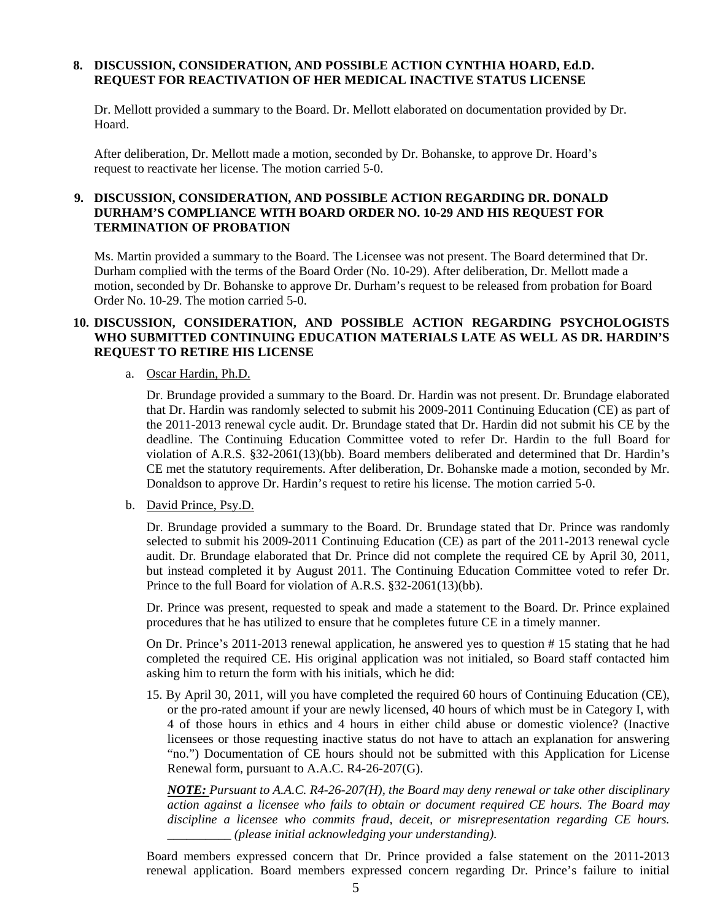# **8. DISCUSSION, CONSIDERATION, AND POSSIBLE ACTION CYNTHIA HOARD, Ed.D. REQUEST FOR REACTIVATION OF HER MEDICAL INACTIVE STATUS LICENSE**

Dr. Mellott provided a summary to the Board. Dr. Mellott elaborated on documentation provided by Dr. Hoard.

After deliberation, Dr. Mellott made a motion, seconded by Dr. Bohanske, to approve Dr. Hoard's request to reactivate her license. The motion carried 5-0.

# **9. DISCUSSION, CONSIDERATION, AND POSSIBLE ACTION REGARDING DR. DONALD DURHAM'S COMPLIANCE WITH BOARD ORDER NO. 10-29 AND HIS REQUEST FOR TERMINATION OF PROBATION**

Ms. Martin provided a summary to the Board. The Licensee was not present. The Board determined that Dr. Durham complied with the terms of the Board Order (No. 10-29). After deliberation, Dr. Mellott made a motion, seconded by Dr. Bohanske to approve Dr. Durham's request to be released from probation for Board Order No. 10-29. The motion carried 5-0.

# **10. DISCUSSION, CONSIDERATION, AND POSSIBLE ACTION REGARDING PSYCHOLOGISTS WHO SUBMITTED CONTINUING EDUCATION MATERIALS LATE AS WELL AS DR. HARDIN'S REQUEST TO RETIRE HIS LICENSE**

#### a. Oscar Hardin, Ph.D.

Dr. Brundage provided a summary to the Board. Dr. Hardin was not present. Dr. Brundage elaborated that Dr. Hardin was randomly selected to submit his 2009-2011 Continuing Education (CE) as part of the 2011-2013 renewal cycle audit. Dr. Brundage stated that Dr. Hardin did not submit his CE by the deadline. The Continuing Education Committee voted to refer Dr. Hardin to the full Board for violation of A.R.S. §32-2061(13)(bb). Board members deliberated and determined that Dr. Hardin's CE met the statutory requirements. After deliberation, Dr. Bohanske made a motion, seconded by Mr. Donaldson to approve Dr. Hardin's request to retire his license. The motion carried 5-0.

# b. David Prince, Psy.D.

Dr. Brundage provided a summary to the Board. Dr. Brundage stated that Dr. Prince was randomly selected to submit his 2009-2011 Continuing Education (CE) as part of the 2011-2013 renewal cycle audit. Dr. Brundage elaborated that Dr. Prince did not complete the required CE by April 30, 2011, but instead completed it by August 2011. The Continuing Education Committee voted to refer Dr. Prince to the full Board for violation of A.R.S. §32-2061(13)(bb).

Dr. Prince was present, requested to speak and made a statement to the Board. Dr. Prince explained procedures that he has utilized to ensure that he completes future CE in a timely manner.

On Dr. Prince's 2011-2013 renewal application, he answered yes to question # 15 stating that he had completed the required CE. His original application was not initialed, so Board staff contacted him asking him to return the form with his initials, which he did:

15. By April 30, 2011, will you have completed the required 60 hours of Continuing Education (CE), or the pro-rated amount if your are newly licensed, 40 hours of which must be in Category I, with 4 of those hours in ethics and 4 hours in either child abuse or domestic violence? (Inactive licensees or those requesting inactive status do not have to attach an explanation for answering "no.") Documentation of CE hours should not be submitted with this Application for License Renewal form, pursuant to A.A.C. R4-26-207(G).

*NOTE: Pursuant to A.A.C. R4-26-207(H), the Board may deny renewal or take other disciplinary action against a licensee who fails to obtain or document required CE hours. The Board may discipline a licensee who commits fraud, deceit, or misrepresentation regarding CE hours. \_\_\_\_\_\_\_\_\_\_ (please initial acknowledging your understanding).* 

Board members expressed concern that Dr. Prince provided a false statement on the 2011-2013 renewal application. Board members expressed concern regarding Dr. Prince's failure to initial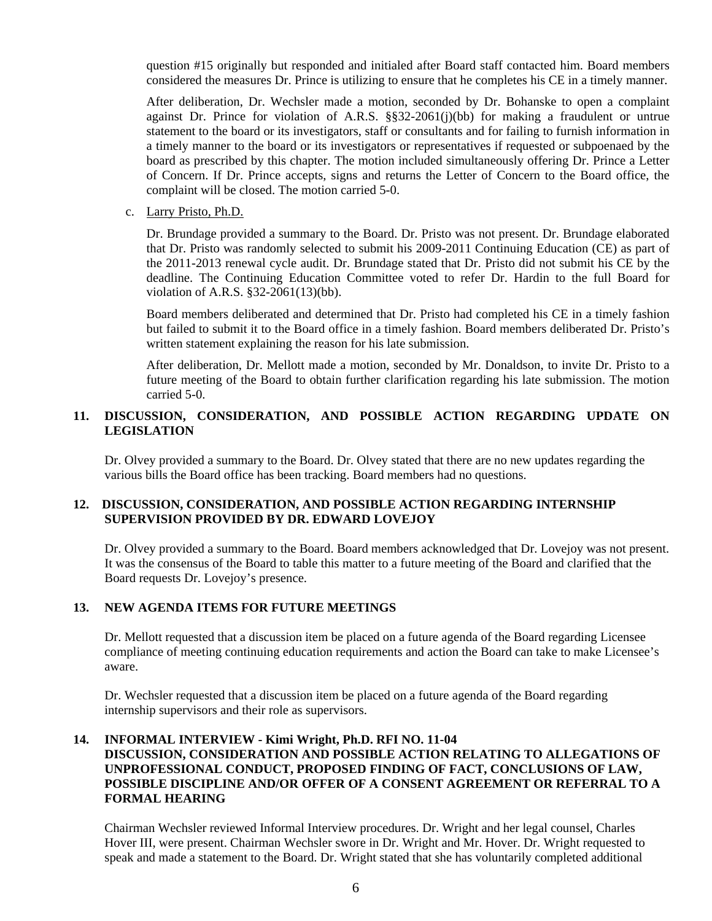question #15 originally but responded and initialed after Board staff contacted him. Board members considered the measures Dr. Prince is utilizing to ensure that he completes his CE in a timely manner.

After deliberation, Dr. Wechsler made a motion, seconded by Dr. Bohanske to open a complaint against Dr. Prince for violation of A.R.S.  $\S 32-2061(i)(bb)$  for making a fraudulent or untrue statement to the board or its investigators, staff or consultants and for failing to furnish information in a timely manner to the board or its investigators or representatives if requested or subpoenaed by the board as prescribed by this chapter. The motion included simultaneously offering Dr. Prince a Letter of Concern. If Dr. Prince accepts, signs and returns the Letter of Concern to the Board office, the complaint will be closed. The motion carried 5-0.

c. Larry Pristo, Ph.D.

Dr. Brundage provided a summary to the Board. Dr. Pristo was not present. Dr. Brundage elaborated that Dr. Pristo was randomly selected to submit his 2009-2011 Continuing Education (CE) as part of the 2011-2013 renewal cycle audit. Dr. Brundage stated that Dr. Pristo did not submit his CE by the deadline. The Continuing Education Committee voted to refer Dr. Hardin to the full Board for violation of A.R.S. §32-2061(13)(bb).

Board members deliberated and determined that Dr. Pristo had completed his CE in a timely fashion but failed to submit it to the Board office in a timely fashion. Board members deliberated Dr. Pristo's written statement explaining the reason for his late submission.

After deliberation, Dr. Mellott made a motion, seconded by Mr. Donaldson, to invite Dr. Pristo to a future meeting of the Board to obtain further clarification regarding his late submission. The motion carried 5-0.

# **11. DISCUSSION, CONSIDERATION, AND POSSIBLE ACTION REGARDING UPDATE ON LEGISLATION**

Dr. Olvey provided a summary to the Board. Dr. Olvey stated that there are no new updates regarding the various bills the Board office has been tracking. Board members had no questions.

# **12. DISCUSSION, CONSIDERATION, AND POSSIBLE ACTION REGARDING INTERNSHIP SUPERVISION PROVIDED BY DR. EDWARD LOVEJOY**

Dr. Olvey provided a summary to the Board. Board members acknowledged that Dr. Lovejoy was not present. It was the consensus of the Board to table this matter to a future meeting of the Board and clarified that the Board requests Dr. Lovejoy's presence.

# **13. NEW AGENDA ITEMS FOR FUTURE MEETINGS**

Dr. Mellott requested that a discussion item be placed on a future agenda of the Board regarding Licensee compliance of meeting continuing education requirements and action the Board can take to make Licensee's aware.

Dr. Wechsler requested that a discussion item be placed on a future agenda of the Board regarding internship supervisors and their role as supervisors.

# **14. INFORMAL INTERVIEW - Kimi Wright, Ph.D. RFI NO. 11-04 DISCUSSION, CONSIDERATION AND POSSIBLE ACTION RELATING TO ALLEGATIONS OF UNPROFESSIONAL CONDUCT, PROPOSED FINDING OF FACT, CONCLUSIONS OF LAW, POSSIBLE DISCIPLINE AND/OR OFFER OF A CONSENT AGREEMENT OR REFERRAL TO A FORMAL HEARING**

 Chairman Wechsler reviewed Informal Interview procedures. Dr. Wright and her legal counsel, Charles Hover III, were present. Chairman Wechsler swore in Dr. Wright and Mr. Hover. Dr. Wright requested to speak and made a statement to the Board. Dr. Wright stated that she has voluntarily completed additional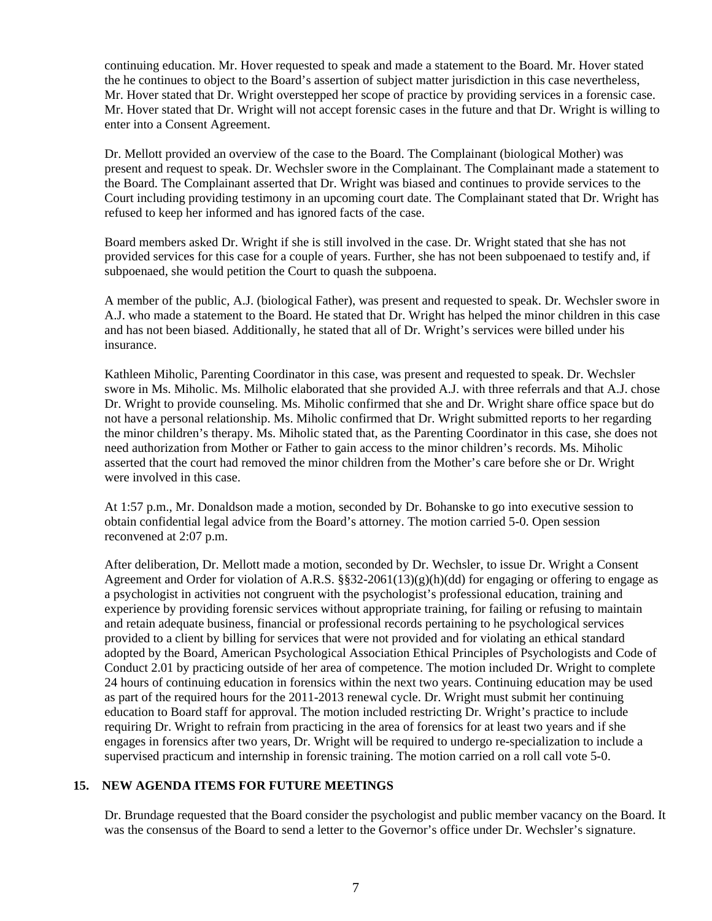continuing education. Mr. Hover requested to speak and made a statement to the Board. Mr. Hover stated the he continues to object to the Board's assertion of subject matter jurisdiction in this case nevertheless, Mr. Hover stated that Dr. Wright overstepped her scope of practice by providing services in a forensic case. Mr. Hover stated that Dr. Wright will not accept forensic cases in the future and that Dr. Wright is willing to enter into a Consent Agreement.

 Dr. Mellott provided an overview of the case to the Board. The Complainant (biological Mother) was present and request to speak. Dr. Wechsler swore in the Complainant. The Complainant made a statement to the Board. The Complainant asserted that Dr. Wright was biased and continues to provide services to the Court including providing testimony in an upcoming court date. The Complainant stated that Dr. Wright has refused to keep her informed and has ignored facts of the case.

 Board members asked Dr. Wright if she is still involved in the case. Dr. Wright stated that she has not provided services for this case for a couple of years. Further, she has not been subpoenaed to testify and, if subpoenaed, she would petition the Court to quash the subpoena.

 A member of the public, A.J. (biological Father), was present and requested to speak. Dr. Wechsler swore in A.J. who made a statement to the Board. He stated that Dr. Wright has helped the minor children in this case and has not been biased. Additionally, he stated that all of Dr. Wright's services were billed under his insurance.

 Kathleen Miholic, Parenting Coordinator in this case, was present and requested to speak. Dr. Wechsler swore in Ms. Miholic. Ms. Milholic elaborated that she provided A.J. with three referrals and that A.J. chose Dr. Wright to provide counseling. Ms. Miholic confirmed that she and Dr. Wright share office space but do not have a personal relationship. Ms. Miholic confirmed that Dr. Wright submitted reports to her regarding the minor children's therapy. Ms. Miholic stated that, as the Parenting Coordinator in this case, she does not need authorization from Mother or Father to gain access to the minor children's records. Ms. Miholic asserted that the court had removed the minor children from the Mother's care before she or Dr. Wright were involved in this case.

 At 1:57 p.m., Mr. Donaldson made a motion, seconded by Dr. Bohanske to go into executive session to obtain confidential legal advice from the Board's attorney. The motion carried 5-0. Open session reconvened at 2:07 p.m.

 After deliberation, Dr. Mellott made a motion, seconded by Dr. Wechsler, to issue Dr. Wright a Consent Agreement and Order for violation of A.R.S.  $\S$ §32-2061(13)(g)(h)(dd) for engaging or offering to engage as a psychologist in activities not congruent with the psychologist's professional education, training and experience by providing forensic services without appropriate training, for failing or refusing to maintain and retain adequate business, financial or professional records pertaining to he psychological services provided to a client by billing for services that were not provided and for violating an ethical standard adopted by the Board, American Psychological Association Ethical Principles of Psychologists and Code of Conduct 2.01 by practicing outside of her area of competence. The motion included Dr. Wright to complete 24 hours of continuing education in forensics within the next two years. Continuing education may be used as part of the required hours for the 2011-2013 renewal cycle. Dr. Wright must submit her continuing education to Board staff for approval. The motion included restricting Dr. Wright's practice to include requiring Dr. Wright to refrain from practicing in the area of forensics for at least two years and if she engages in forensics after two years, Dr. Wright will be required to undergo re-specialization to include a supervised practicum and internship in forensic training. The motion carried on a roll call vote 5-0.

# **15. NEW AGENDA ITEMS FOR FUTURE MEETINGS**

Dr. Brundage requested that the Board consider the psychologist and public member vacancy on the Board. It was the consensus of the Board to send a letter to the Governor's office under Dr. Wechsler's signature.